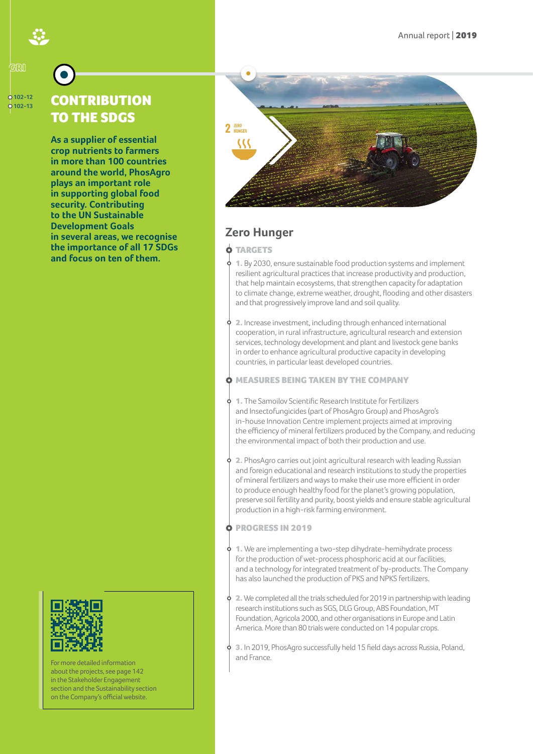#### **102-12 102-13**

(प्रिथि

# **CONTRIBUTION** TO THE SDGS

**As a supplier of essential crop nutrients to farmers in more than 100 countries around the world, PhosAgro plays an important role in supporting global food security. Contributing to the UN Sustainable Development Goals in several areas, we recognise the importance of all 17 SDGs and focus on ten of them.**



For more detailed information about the projects, see page 142 in the Stakeholder Engagement [section and the Sustainability section](https://phosagro.com/sustainability/)  on the Company's official website.



## **Zero Hunger**

**O** TARGETS

1. By 2030, ensure sustainable food production systems and implement resilient agricultural practices that increase productivity and production, that help maintain ecosystems, that strengthen capacity for adaptation to climate change, extreme weather, drought, flooding and other disasters and that progressively improve land and soil quality.

2. Increase investment, including through enhanced international cooperation, in rural infrastructure, agricultural research and extension services, technology development and plant and livestock gene banks in order to enhance agricultural productive capacity in developing countries, in particular least developed countries.

MEASURES BEING TAKEN BY THE COMPANY

1. The Samoilov Scientific Research Institute for Fertilizers and Insectofungicides (part of PhosAgro Group) and PhosAgro's in-house Innovation Centre implement projects aimed at improving the efficiency of mineral fertilizers produced by the Company, and reducing the environmental impact of both their production and use.

2. PhosAgro carries out joint agricultural research with leading Russian and foreign educational and research institutions to study the properties of mineral fertilizers and ways to make their use more efficient in order to produce enough healthy food for the planet's growing population, preserve soil fertility and purity, boost yields and ensure stable agricultural production in a high-risk farming environment.

PROGRESS IN 2019

1. We are implementing a two-step dihydrate-hemihydrate process for the production of wet-process phosphoric acid at our facilities, and a technology for integrated treatment of by-products. The Company has also launched the production of PKS and NPKS fertilizers.

2. We completed all the trials scheduled for 2019 in partnership with leading research institutions such as SGS, DLG Group, ABS Foundation, MT Foundation, Agricola 2000, and other organisations in Europe and Latin America. More than 80 trials were conducted on 14 popular crops.

3. In 2019, PhosAgro successfully held 15 field days across Russia, Poland, and France.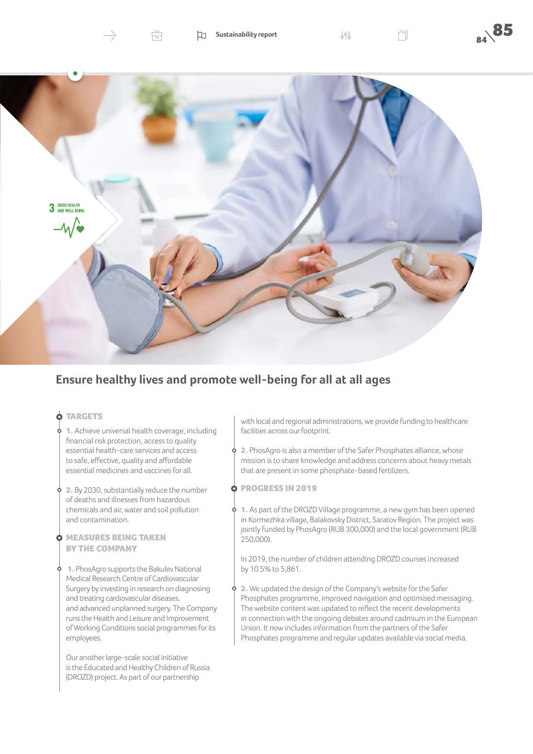

### **Ensure healthy lives and promote well-being for all at all ages**

#### **O** TARGETS

- 1. Achieve universal health coverage, including financial risk protection, access to quality essential health-care services and access to safe, effective, quality and affordable essential medicines and vaccines for all.
- 2. By 2030, substantially reduce the number of deaths and illnesses from hazardous chemicals and air, water and soil pollution and contamination.

#### MEASURES BEING TAKEN BY THE COMPANY

 1. PhosAgro supports the Bakulev National Medical Research Centre of Cardiovascular Surgery by investing in research on diagnosing and treating cardiovascular diseases, and advanced unplanned surgery. The Company runs the Health and Leisure and Improvement of Working Conditions social programmes for its employees.

Our another large-scale social initiative is the Educated and Healthy Children of Russia (DROZD) project. As part of our partnership

with local and regional administrations, we provide funding to healthcare facilities across our footprint.

- $\phi$  2. PhosAgro is also a member of the Safer Phosphates alliance, whose mission is to share knowledge and address concerns about heavy metals that are present in some phosphate-based fertilizers.
- **O PROGRESS IN 2019**
- 1. As part of the DROZD Village programme, a new gym has been opened in Kormezhka village, Balakovsky District, Saratov Region. The project was jointly funded by PhosAgro (RUB 300,000) and the local government (RUB 250,000).
	- In 2019, the number of children attending DROZD courses increased by 10.5% to 5,861.
- 2. We updated the design of the Company's website for the Safer Phosphates programme, improved navigation and optimised messaging. The website content was updated to reflect the recent developments in connection with the ongoing debates around cadmium in the European Union. It now includes information from the partners of the Safer Phosphates programme and regular updates available via social media.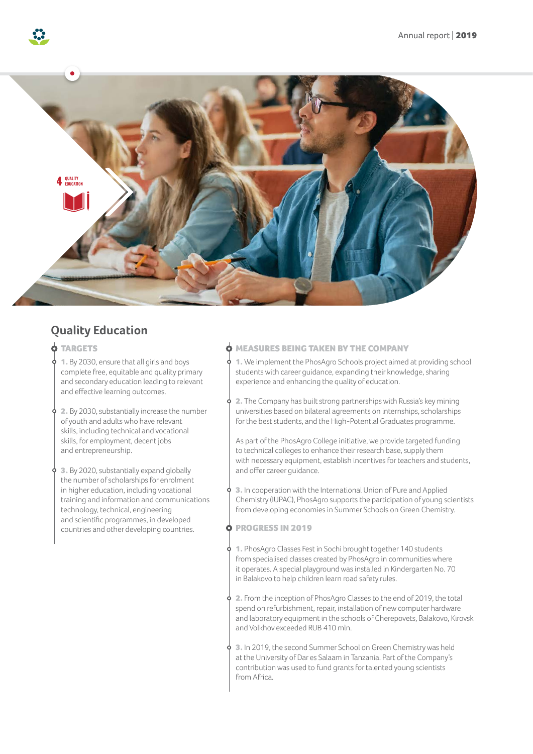

# **Quality Education**

#### **O** TARGETS

- 1. By 2030, ensure that all girls and boys complete free, equitable and quality primary and secondary education leading to relevant and effective learning outcomes.
- 2. By 2030, substantially increase the number of youth and adults who have relevant skills, including technical and vocational skills, for employment, decent jobs and entrepreneurship.
- 3. By 2020, substantially expand globally the number of scholarships for enrolment in higher education, including vocational training and information and communications technology, technical, engineering and scientific programmes, in developed countries and other developing countries.

#### MEASURES BEING TAKEN BY THE COMPANY

1. We implement the PhosAgro Schools project aimed at providing school students with career guidance, expanding their knowledge, sharing experience and enhancing the quality of education.

2. The Company has built strong partnerships with Russia's key mining universities based on bilateral agreements on internships, scholarships for the best students, and the High-Potential Graduates programme.

As part of the PhosAgro College initiative, we provide targeted funding to technical colleges to enhance their research base, supply them with necessary equipment, establish incentives for teachers and students, and offer career guidance.

3. In cooperation with the International Union of Pure and Applied Chemistry (IUPAC), PhosAgro supports the participation of young scientists from developing economies in Summer Schools on Green Chemistry.

PROGRESS IN 2019

1. PhosAgro Classes Fest in Sochi brought together 140 students from specialised classes created by PhosAgro in communities where it operates. A special playground was installed in Kindergarten No. 70 in Balakovo to help children learn road safety rules.

2. From the inception of PhosAgro Classes to the end of 2019, the total spend on refurbishment, repair, installation of new computer hardware and laboratory equipment in the schools of Cherepovets, Balakovo, Kirovsk and Volkhov exceeded RUB 410 mln.

3. In 2019, the second Summer School on Green Chemistry was held at the University of Dar es Salaam in Tanzania. Part of the Company's contribution was used to fund grants for talented young scientists from Africa.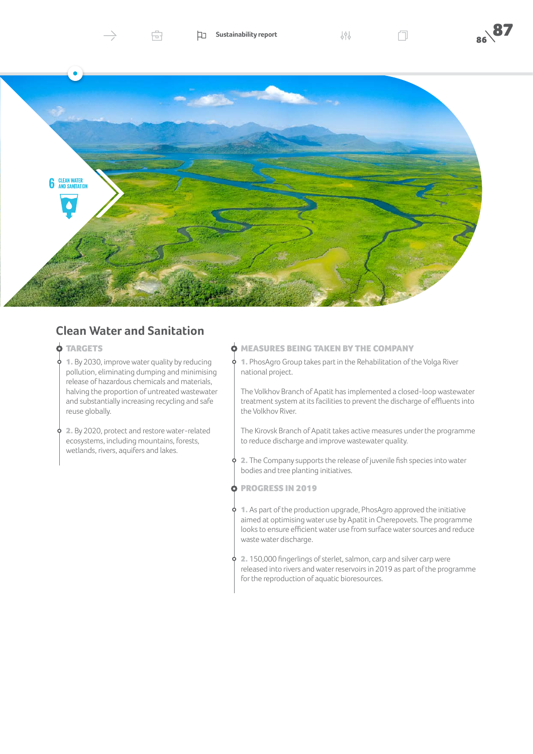

### **Clean Water and Sanitation**

#### **O TARGETS**

1. By 2030, improve water quality by reducing pollution, eliminating dumping and minimising release of hazardous chemicals and materials, halving the proportion of untreated wastewater and substantially increasing recycling and safe reuse globally.

2. By 2020, protect and restore water-related ecosystems, including mountains, forests, wetlands, rivers, aquifers and lakes.

#### MEASURES BEING TAKEN BY THE COMPANY

1. PhosAgro Group takes part in the Rehabilitation of the Volga River ò national project.

The Volkhov Branch of Apatit has implemented a closed-loop wastewater treatment system at its facilities to prevent the discharge of effluents into the Volkhov River.

The Kirovsk Branch of Apatit takes active measures under the programme to reduce discharge and improve wastewater quality.

- $\phi$  2. The Company supports the release of juvenile fish species into water bodies and tree planting initiatives.
- **O PROGRESS IN 2019**
- $\phi$  1. As part of the production upgrade, PhosAgro approved the initiative aimed at optimising water use by Apatit in Cherepovets. The programme looks to ensure efficient water use from surface water sources and reduce waste water discharge.
- $\phi$  2. 150,000 fingerlings of sterlet, salmon, carp and silver carp were released into rivers and water reservoirs in 2019 as part of the programme for the reproduction of aquatic bioresources.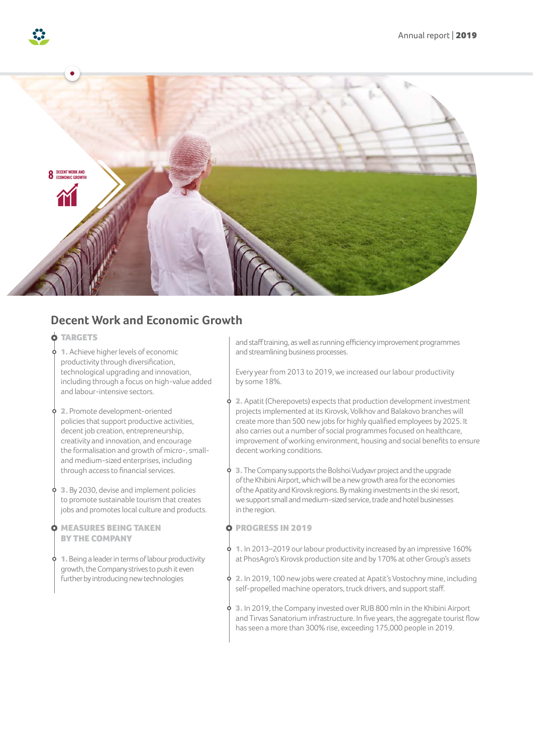

## **Decent Work and Economic Growth**

#### **O** TARGETS

- 1. Achieve higher levels of economic productivity through diversification, technological upgrading and innovation, including through a focus on high-value added and labour-intensive sectors.
- 2. Promote development-oriented policies that support productive activities, decent job creation, entrepreneurship, creativity and innovation, and encourage the formalisation and growth of micro-, smalland medium-sized enterprises, including through access to financial services.
- 3. By 2030, devise and implement policies to promote sustainable tourism that creates jobs and promotes local culture and products.
- **O MEASURES BEING TAKEN** BY THE COMPANY
	- 1. Being a leader in terms of labour productivity growth, the Company strives to push it even further by introducing new technologies

and staff training, as well as running efficiency improvement programmes and streamlining business processes.

Every year from 2013 to 2019, we increased our labour productivity by some 18%.

2. Apatit (Cherepovets) expects that production development investment projects implemented at its Kirovsk, Volkhov and Balakovo branches will create more than 500 new jobs for highly qualified employees by 2025. It also carries out a number of social programmes focused on healthcare, improvement of working environment, housing and social benefits to ensure decent working conditions.

3. The Company supports the Bolshoi Vudyavr project and the upgrade of the Khibini Airport, which will be a new growth area for the economies of the Apatity and Kirovsk regions. By making investments in the ski resort, we support small and medium-sized service, trade and hotel businesses in the region.

PROGRESS IN 2019 Ò

1. In 2013–2019 our labour productivity increased by an impressive 160% at PhosAgro's Kirovsk production site and by 170% at other Group's assets

2. In 2019, 100 new jobs were created at Apatit's Vostochny mine, including self-propelled machine operators, truck drivers, and support staff.

3. In 2019, the Company invested over RUB 800 mln in the Khibini Airport and Tirvas Sanatorium infrastructure. In five years, the aggregate tourist flow has seen a more than 300% rise, exceeding 175,000 people in 2019.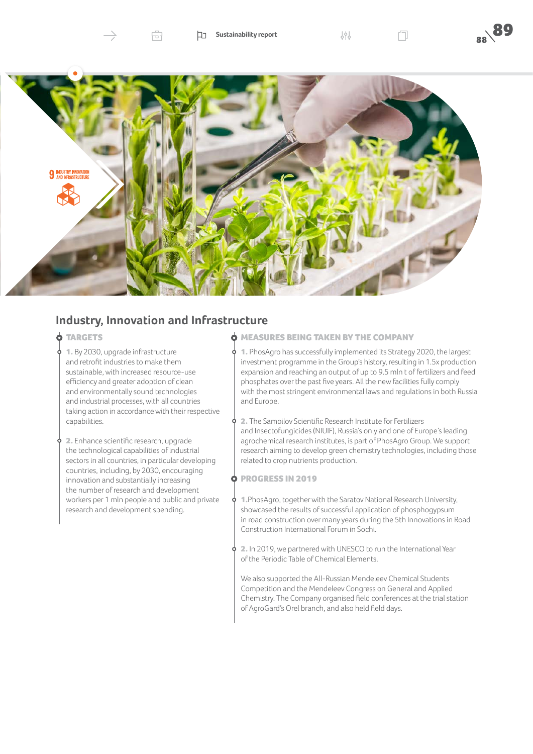



### **Industry, Innovation and Infrastructure**

Ĥ.

#### **O** TARGETS

1. By 2030, upgrade infrastructure and retrofit industries to make them sustainable, with increased resource-use efficiency and greater adoption of clean and environmentally sound technologies and industrial processes, with all countries taking action in accordance with their respective capabilities.

2. Enhance scientific research, upgrade the technological capabilities of industrial sectors in all countries, in particular developing countries, including, by 2030, encouraging innovation and substantially increasing the number of research and development workers per 1 mln people and public and private research and development spending.

#### **O MEASURES BEING TAKEN BY THE COMPANY**

1. PhosAgro has successfully implemented its Strategy 2020, the largest investment programme in the Group's history, resulting in 1.5x production expansion and reaching an output of up to 9.5 mln t of fertilizers and feed phosphates over the past five years. All the new facilities fully comply with the most stringent environmental laws and regulations in both Russia and Europe.

9. 2. The Samoilov Scientific Research Institute for Fertilizers and Insectofungicides (NIUIF), Russia's only and one of Europe's leading agrochemical research institutes, is part of PhosAgro Group. We support research aiming to develop green chemistry technologies, including those related to crop nutrients production.

- PROGRESS IN 2019
- $\phi$  1. PhosAgro, together with the Saratov National Research University, showcased the results of successful application of phosphogypsum in road construction over many years during the 5th Innovations in Road Construction International Forum in Sochi.
- 2. In 2019, we partnered with UNESCO to run the International Year of the Periodic Table of Chemical Elements.

We also supported the All-Russian Mendeleev Chemical Students Competition and the Mendeleev Congress on General and Applied Chemistry. The Company organised field conferences at the trial station of AgroGard's Orel branch, and also held field days.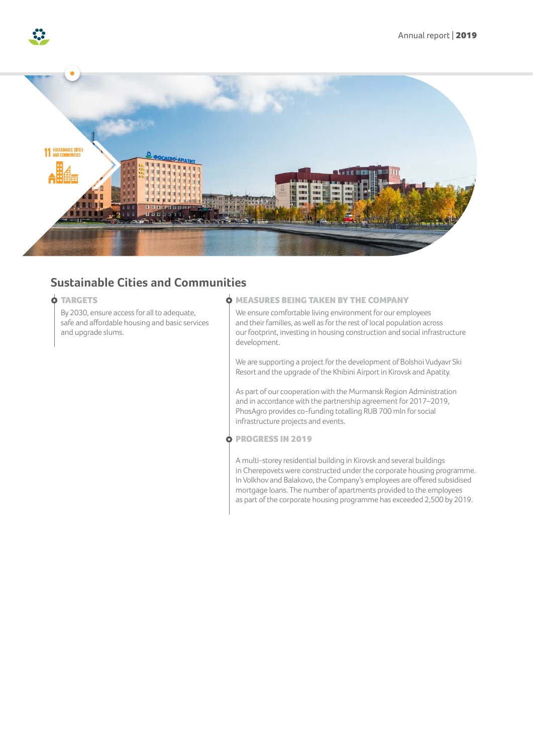

## **Sustainable Cities and Communities**

#### **O TARGETS**

By 2030, ensure access for all to adequate, safe and affordable housing and basic services and upgrade slums.

#### **O MEASURES BEING TAKEN BY THE COMPANY**

We ensure comfortable living environment for our employees and their families, as well as for the rest of local population across our footprint, investing in housing construction and social infrastructure development.

We are supporting a project for the development of Bolshoi Vudyavr Ski Resort and the upgrade of the Khibini Airport in Kirovsk and Apatity.

As part of our cooperation with the Murmansk Region Administration and in accordance with the partnership agreement for 2017–2019, PhosAgro provides co-funding totalling RUB 700 mln for social infrastructure projects and events.

PROGRESS IN 2019

A multi-storey residential building in Kirovsk and several buildings in Cherepovets were constructed under the corporate housing programme. In Volkhov and Balakovo, the Company's employees are offered subsidised mortgage loans. The number of apartments provided to the employees as part of the corporate housing programme has exceeded 2,500 by 2019.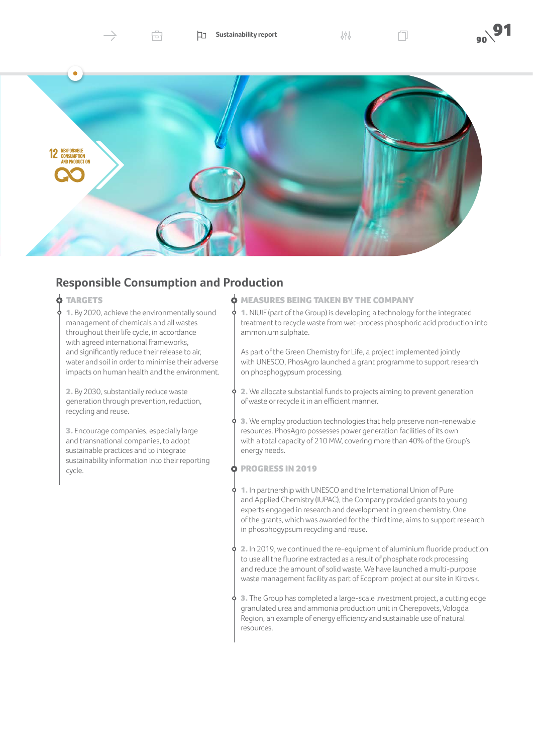



## **Responsible Consumption and Production**

Ĥ.

#### **O** TARGETS

1. By 2020, achieve the environmentally sound management of chemicals and all wastes throughout their life cycle, in accordance with agreed international frameworks, and significantly reduce their release to air, water and soil in order to minimise their adverse impacts on human health and the environment.

2. By 2030, substantially reduce waste generation through prevention, reduction, recycling and reuse.

3. Encourage companies, especially large and transnational companies, to adopt sustainable practices and to integrate sustainability information into their reporting cycle.

#### **O MEASURES BEING TAKEN BY THE COMPANY**

1. NIUIF (part of the Group) is developing a technology for the integrated treatment to recycle waste from wet-process phosphoric acid production into ammonium sulphate.

As part of the Green Chemistry for Life, a project implemented jointly with UNESCO, PhosAgro launched a grant programme to support research on phosphogypsum processing.

- 2. We allocate substantial funds to projects aiming to prevent generation ò. of waste or recycle it in an efficient manner.
- $\phi$  3. We employ production technologies that help preserve non-renewable resources. PhosAgro possesses power generation facilities of its own with a total capacity of 210 MW, covering more than 40% of the Group's energy needs.
- **O PROGRESS IN 2019**
- 1. In partnership with UNESCO and the International Union of Pure and Applied Chemistry (IUPAC), the Company provided grants to young experts engaged in research and development in green chemistry. One of the grants, which was awarded for the third time, aims to support research in phosphogypsum recycling and reuse.
- $\phi$  2. In 2019, we continued the re-equipment of aluminium fluoride production to use all the fluorine extracted as a result of phosphate rock processing and reduce the amount of solid waste. We have launched a multi-purpose waste management facility as part of Ecoprom project at our site in Kirovsk.
- $\phi$  3. The Group has completed a large-scale investment project, a cutting edge granulated urea and ammonia production unit in Cherepovets, Vologda Region, an example of energy efficiency and sustainable use of natural resources.

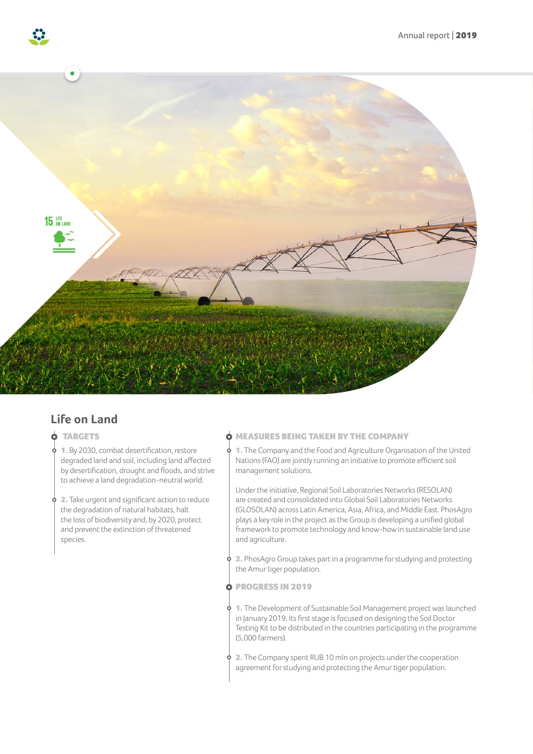

### **Life on Land**

- **O** TARGETS
- 1. By 2030, combat desertification, restore degraded land and soil, including land affected by desertification, drought and floods, and strive to achieve a land degradation-neutral world.
- 2. Take urgent and significant action to reduce the degradation of natural habitats, halt the loss of biodiversity and, by 2020, protect and prevent the extinction of threatened species.

#### MEASURES BEING TAKEN BY THE COMPANY

1. The Company and the Food and Agriculture Organisation of the United Nations (FAO) are jointly running an initiative to promote efficient soil management solutions.

Under the initiative, Regional Soil Laboratories Networks (RESOLAN) are created and consolidated into Global Soil Laboratories Networks (GLOSOLAN) across Latin America, Asia, Africa, and Middle East. PhosAgro plays a key role in the project as the Group is developing a unified global framework to promote technology and know-how in sustainable land use and agriculture.

2. PhosAgro Group takes part in a programme for studying and protecting the Amur tiger population.

PROGRESS IN 2019 Ò

1. The Development of Sustainable Soil Management project was launched in January 2019. Its first stage is focused on designing the Soil Doctor Testing Kit to be distributed in the countries participating in the programme (5,000 farmers).

2. The Company spent RUB 10 mln on projects under the cooperation agreement for studying and protecting the Amur tiger population.